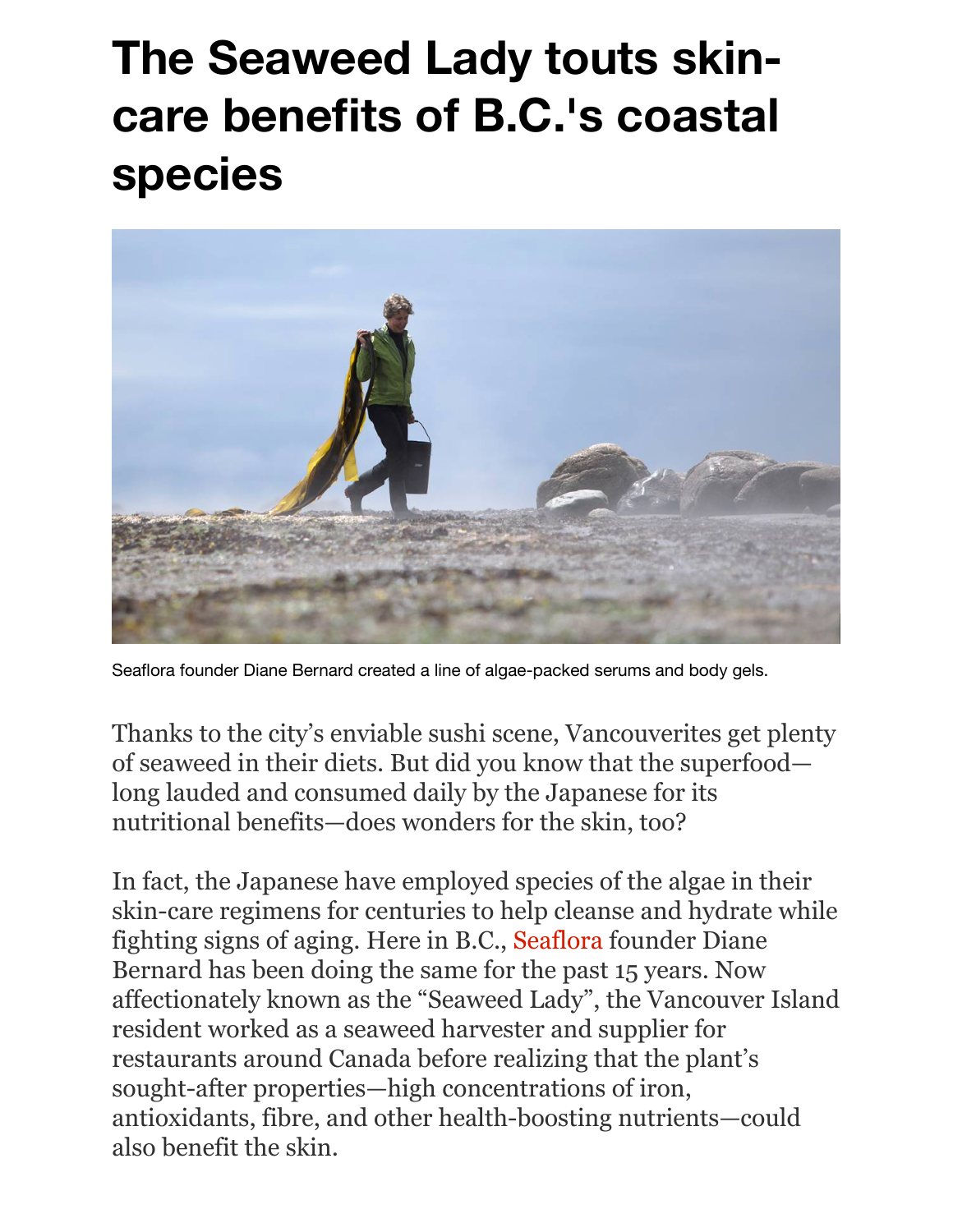## **The Seaweed Lady touts skincare benefits of B.C.'s coastal species**



Seaflora founder Diane Bernard created a line of algae-packed serums and body gels. 

Thanks to the city's enviable sushi scene, Vancouverites get plenty of seaweed in their diets. But did you know that the superfood long lauded and consumed daily by the Japanese for its nutritional benefits—does wonders for the skin, too?

In fact, the Japanese have employed species of the algae in their skin-care regimens for centuries to help cleanse and hydrate while fighting signs of aging. Here in B.C., [Seaflora](https://seafloraskincare.com/) founder Diane Bernard has been doing the same for the past 15 years. Now affectionately known as the "Seaweed Lady", the Vancouver Island resident worked as a seaweed harvester and supplier for restaurants around Canada before realizing that the plant's sought-after properties—high concentrations of iron, antioxidants, fibre, and other health-boosting nutrients—could also benefit the skin.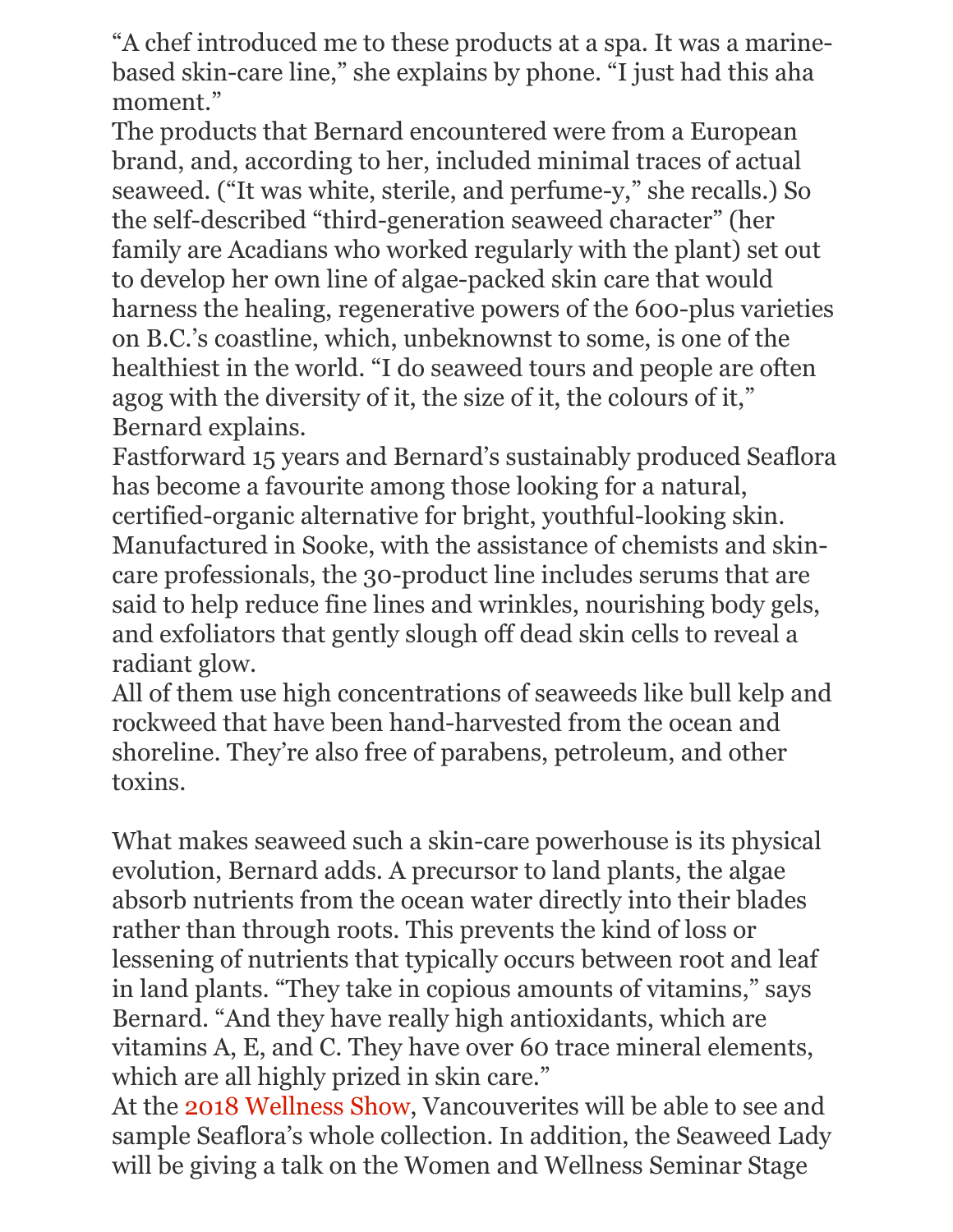"A chef introduced me to these products at a spa. It was a marinebased skin-care line," she explains by phone. "I just had this aha moment."

The products that Bernard encountered were from a European brand, and, according to her, included minimal traces of actual seaweed. ("It was white, sterile, and perfume-y," she recalls.) So the self-described "third-generation seaweed character" (her family are Acadians who worked regularly with the plant) set out to develop her own line of algae-packed skin care that would harness the healing, regenerative powers of the 600-plus varieties on B.C.'s coastline, which, unbeknownst to some, is one of the healthiest in the world. "I do seaweed tours and people are often agog with the diversity of it, the size of it, the colours of it," Bernard explains.

Fastforward 15 years and Bernard's sustainably produced Seaflora has become a favourite among those looking for a natural, certified-organic alternative for bright, youthful-looking skin. Manufactured in Sooke, with the assistance of chemists and skincare professionals, the 30-product line includes serums that are said to help reduce fine lines and wrinkles, nourishing body gels, and exfoliators that gently slough off dead skin cells to reveal a radiant glow.

All of them use high concentrations of seaweeds like bull kelp and rockweed that have been hand-harvested from the ocean and shoreline. They're also free of parabens, petroleum, and other toxins.

What makes seaweed such a skin-care powerhouse is its physical evolution, Bernard adds. A precursor to land plants, the algae absorb nutrients from the ocean water directly into their blades rather than through roots. This prevents the kind of loss or lessening of nutrients that typically occurs between root and leaf in land plants. "They take in copious amounts of vitamins," says Bernard. "And they have really high antioxidants, which are vitamins A, E, and C. They have over 60 trace mineral elements, which are all highly prized in skin care."

At the [2018 Wellness Show,](http://thewellnessshow.com/) Vancouverites will be able to see and sample Seaflora's whole collection. In addition, the Seaweed Lady will be giving a talk on the Women and Wellness Seminar Stage